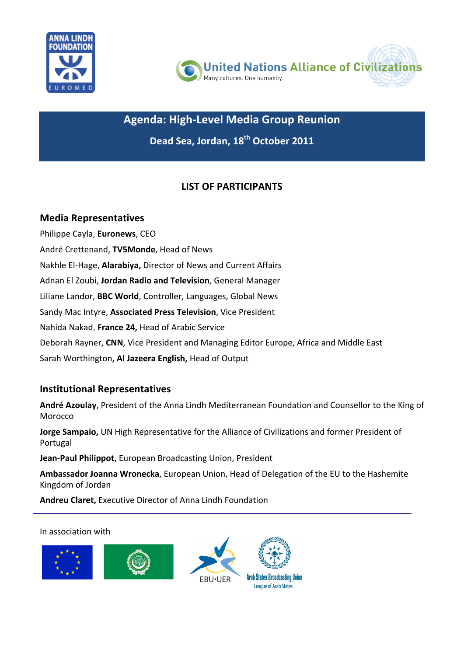



## **Agenda: High-Level Media Group Reunion**

# Dead Sea, Jordan, 18<sup>th</sup> October 2011

## **LIST OF PARTICIPANTS**

#### **Media(Representatives(**

Philippe Cayla, **Euronews**, CEO André Crettenand, **TV5Monde**, Head of News Nakhle El-Hage, Alarabiya, Director of News and Current Affairs Adnan El Zoubi, Jordan Radio and Television, General Manager Liliane Landor, **BBC World**, Controller, Languages, Global News Sandy Mac Intyre, Associated Press Television, Vice President Nahida Nakad, France 24, Head of Arabic Service Deborah Rayner, CNN, Vice President and Managing Editor Europe, Africa and Middle East Sarah Worthington, Al Jazeera English, Head of Output

### **Institutional Representatives**

André Azoulay, President of the Anna Lindh Mediterranean Foundation and Counsellor to the King of Morocco

**Jorge Sampaio, UN High Representative for the Alliance of Civilizations and former President of Portugal** 

Jean-Paul Philippot, European Broadcasting Union, President

Ambassador Joanna Wronecka, European Union, Head of Delegation of the EU to the Hashemite Kingdom!of!Jordan

**Andreu Claret, Executive Director of Anna Lindh Foundation** 

In association with